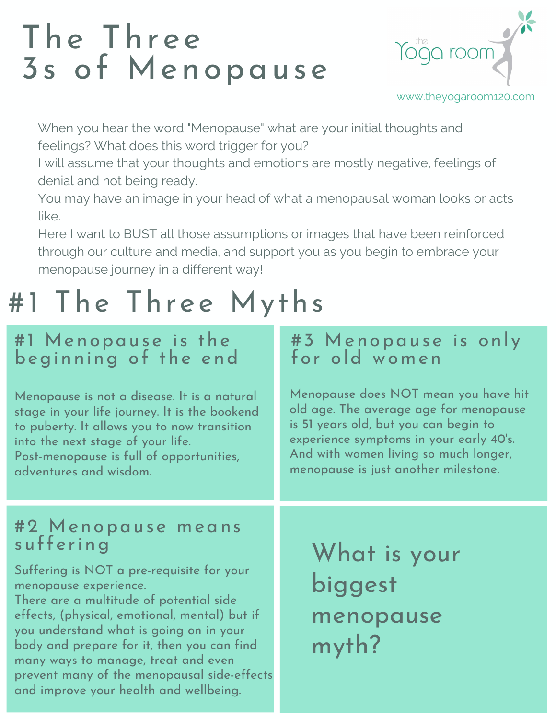### The Three 3s of Menopause



www.theyogaroom120.com

When you hear the word "Menopause" what are your initial thoughts and feelings? What does this word trigger for you?

I will assume that your thoughts and emotions are mostly negative, feelings of denial and not being ready.

You may have an image in your head of what a menopausal woman looks or acts like.

Here I want to BUST all those assumptions or images that have been reinforced through our culture and media, and support you as you begin to embrace your menopause journey in a different way!

## #1 The Three Myths

### #1 Menopause is the beginning of the end

Menopause is not a disease. It is a natural stage in your life journey. It is the bookend to puberty. It allows you to now transition into the next stage of your life. Post-menopause is full of opportunities, adventures and wisdom.

#### #3 Menopause is only for old women

Menopause does NOT mean you have hit old age. The average age for menopause is 51 years old, but you can begin to experience symptoms in your early 40's. And with women living so much longer, menopause is just another milestone.

#### #2 Menopause means suffering

Suffering is NOT a pre-requisite for your menopause experience.

There are a multitude of potential side effects, (physical, emotional, mental) but if you understand what is going on in your body and prepare for it, then you can find many ways to manage, treat and even prevent many of the menopausal side-effects and improve your health and wellbeing.

What is your biggest menopause myth?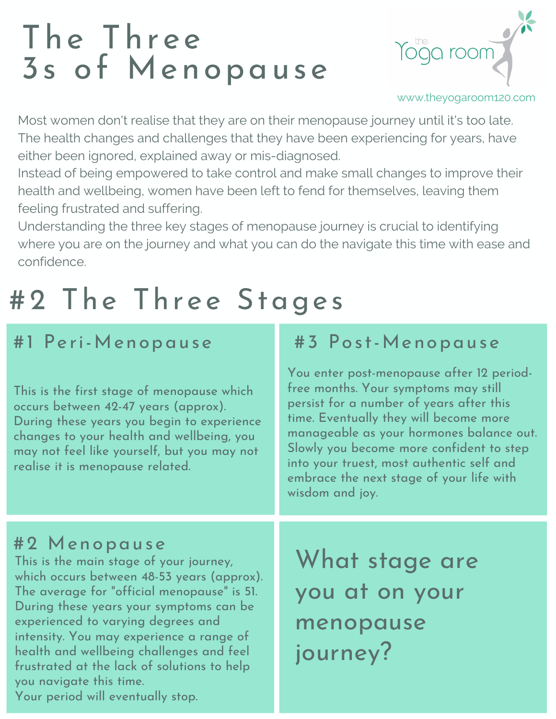## The Three 3s of Menopause



#### www.theyogaroom120.com

Most women don't realise that they are on their menopause journey until it's too late. The health changes and challenges that they have been experiencing for years, have either been ignored, explained away or mis-diagnosed.

Instead of being empowered to take control and make small changes to improve their health and wellbeing, women have been left to fend for themselves, leaving them feeling frustrated and suffering.

Understanding the three key stages of menopause journey is crucial to identifying where you are on the journey and what you can do the navigate this time with ease and confidence.

# #2 The Three Stages

### #1 Peri-Menopause

This is the first stage of menopause which occurs between 42-47 years (approx). During these years you begin to experience changes to your health and wellbeing, you may not feel like yourself, but you may not realise it is menopause related.

### #3 Post-Menopause

You enter post-menopause after 12 periodfree months. Your symptoms may still persist for a number of years after this time. Eventually they will become more manageable as your hormones balance out. Slowly you become more confident to step into your truest, most authentic self and embrace the next stage of your life with wisdom and joy.

#### #2 Menopause

This is the main stage of your journey, which occurs between 48-53 years (approx). The average for "official menopause" is 51. During these years your symptoms can be experienced to varying degrees and intensity. You may experience a range of health and wellbeing challenges and feel frustrated at the lack of solutions to help you navigate this time.

Your period will eventually stop.

What stage are you at on your menopause journey?